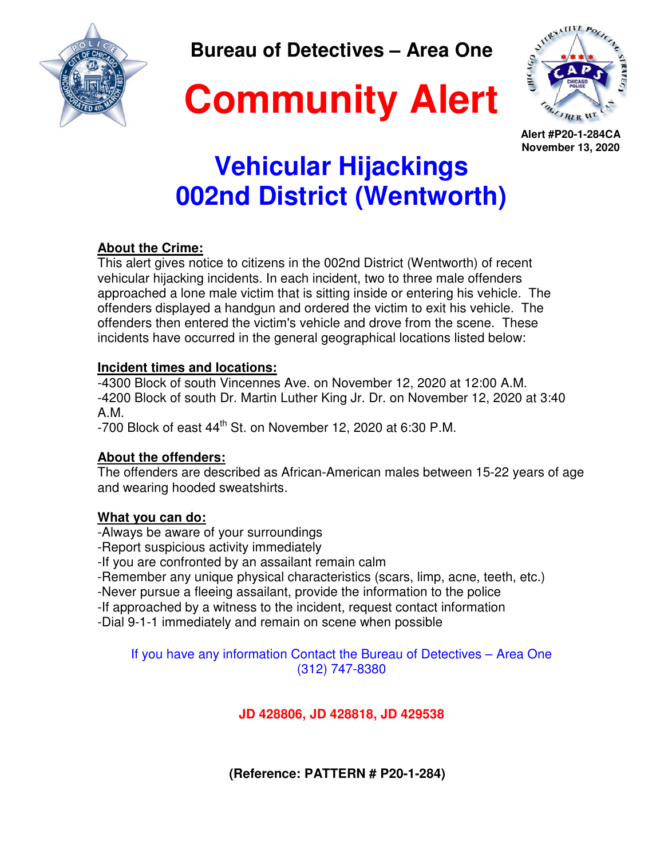

**Bureau of Detectives – Area One** 





**Alert #P20-1-284CA November 13, 2020** 

# **Vehicular Hijackings 002nd District (Wentworth)**

## **About the Crime:**

This alert gives notice to citizens in the 002nd District (Wentworth) of recent vehicular hijacking incidents. In each incident, two to three male offenders approached a lone male victim that is sitting inside or entering his vehicle. The offenders displayed a handgun and ordered the victim to exit his vehicle. The offenders then entered the victim's vehicle and drove from the scene. These incidents have occurred in the general geographical locations listed below:

#### **Incident times and locations:**

-4300 Block of south Vincennes Ave. on November 12, 2020 at 12:00 A.M. -4200 Block of south Dr. Martin Luther King Jr. Dr. on November 12, 2020 at 3:40 A.M.

-700 Block of east 44<sup>th</sup> St. on November 12, 2020 at 6:30 P.M.

### **About the offenders:**

The offenders are described as African-American males between 15-22 years of age and wearing hooded sweatshirts.

### **What you can do:**

-Always be aware of your surroundings

-Report suspicious activity immediately

-If you are confronted by an assailant remain calm

-Remember any unique physical characteristics (scars, limp, acne, teeth, etc.)

-Never pursue a fleeing assailant, provide the information to the police

-If approached by a witness to the incident, request contact information

-Dial 9-1-1 immediately and remain on scene when possible

If you have any information Contact the Bureau of Detectives – Area One (312) 747-8380

## **JD 428806, JD 428818, JD 429538**

 **(Reference: PATTERN # P20-1-284)**